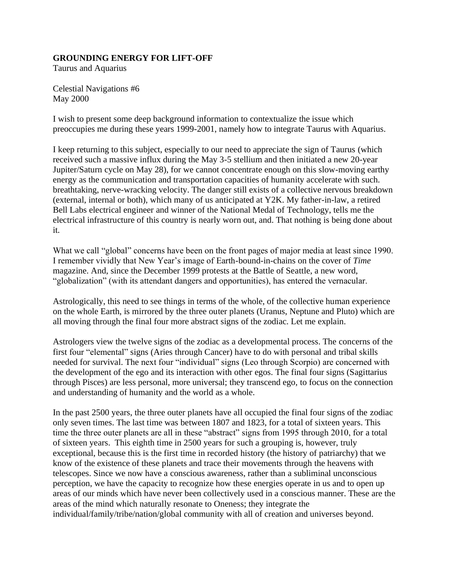## **GROUNDING ENERGY FOR LIFT-OFF**

Taurus and Aquarius

Celestial Navigations #6 May 2000

I wish to present some deep background information to contextualize the issue which preoccupies me during these years 1999-2001, namely how to integrate Taurus with Aquarius.

I keep returning to this subject, especially to our need to appreciate the sign of Taurus (which received such a massive influx during the May 3-5 stellium and then initiated a new 20-year Jupiter/Saturn cycle on May 28), for we cannot concentrate enough on this slow-moving earthy energy as the communication and transportation capacities of humanity accelerate with such. breathtaking, nerve-wracking velocity. The danger still exists of a collective nervous breakdown (external, internal or both), which many of us anticipated at Y2K. My father-in-law, a retired Bell Labs electrical engineer and winner of the National Medal of Technology, tells me the electrical infrastructure of this country is nearly worn out, and. That nothing is being done about it.

What we call "global" concerns have been on the front pages of major media at least since 1990. I remember vividly that New Year's image of Earth-bound-in-chains on the cover of *Time*  magazine. And, since the December 1999 protests at the Battle of Seattle, a new word, "globalization" (with its attendant dangers and opportunities), has entered the vernacular.

Astrologically, this need to see things in terms of the whole, of the collective human experience on the whole Earth, is mirrored by the three outer planets (Uranus, Neptune and Pluto) which are all moving through the final four more abstract signs of the zodiac. Let me explain.

Astrologers view the twelve signs of the zodiac as a developmental process. The concerns of the first four "elemental" signs (Aries through Cancer) have to do with personal and tribal skills needed for survival. The next four "individual" signs (Leo through Scorpio) are concerned with the development of the ego and its interaction with other egos. The final four signs (Sagittarius through Pisces) are less personal, more universal; they transcend ego, to focus on the connection and understanding of humanity and the world as a whole.

In the past 2500 years, the three outer planets have all occupied the final four signs of the zodiac only seven times. The last time was between 1807 and 1823, for a total of sixteen years. This time the three outer planets are all in these "abstract" signs from 1995 through 2010, for a total of sixteen years. This eighth time in 2500 years for such a grouping is, however, truly exceptional, because this is the first time in recorded history (the history of patriarchy) that we know of the existence of these planets and trace their movements through the heavens with telescopes. Since we now have a conscious awareness, rather than a subliminal unconscious perception, we have the capacity to recognize how these energies operate in us and to open up areas of our minds which have never been collectively used in a conscious manner. These are the areas of the mind which naturally resonate to Oneness; they integrate the individual/family/tribe/nation/global community with all of creation and universes beyond.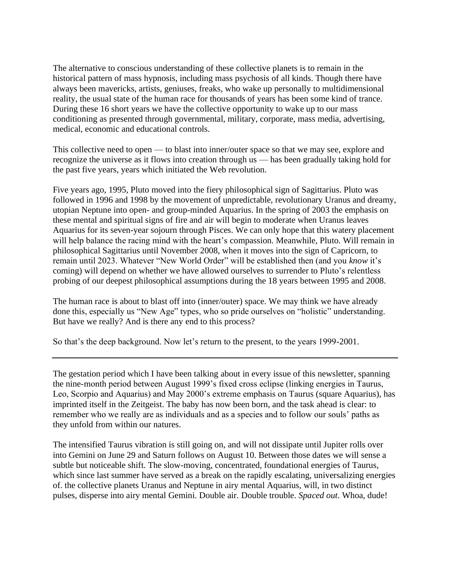The alternative to conscious understanding of these collective planets is to remain in the historical pattern of mass hypnosis, including mass psychosis of all kinds. Though there have always been mavericks, artists, geniuses, freaks, who wake up personally to multidimensional reality, the usual state of the human race for thousands of years has been some kind of trance. During these 16 short years we have the collective opportunity to wake up to our mass conditioning as presented through governmental, military, corporate, mass media, advertising, medical, economic and educational controls.

This collective need to open — to blast into inner/outer space so that we may see, explore and recognize the universe as it flows into creation through us — has been gradually taking hold for the past five years, years which initiated the Web revolution.

Five years ago, 1995, Pluto moved into the fiery philosophical sign of Sagittarius. Pluto was followed in 1996 and 1998 by the movement of unpredictable, revolutionary Uranus and dreamy, utopian Neptune into open- and group-minded Aquarius. In the spring of 2003 the emphasis on these mental and spiritual signs of fire and air will begin to moderate when Uranus leaves Aquarius for its seven-year sojourn through Pisces. We can only hope that this watery placement will help balance the racing mind with the heart's compassion. Meanwhile, Pluto. Will remain in philosophical Sagittarius until November 2008, when it moves into the sign of Capricorn, to remain until 2023. Whatever "New World Order" will be established then (and you *know* it's coming) will depend on whether we have allowed ourselves to surrender to Pluto's relentless probing of our deepest philosophical assumptions during the 18 years between 1995 and 2008.

The human race is about to blast off into (inner/outer) space. We may think we have already done this, especially us "New Age" types, who so pride ourselves on "holistic" understanding. But have we really? And is there any end to this process?

So that's the deep background. Now let's return to the present, to the years 1999-2001.

The gestation period which I have been talking about in every issue of this newsletter, spanning the nine-month period between August 1999's fixed cross eclipse (linking energies in Taurus, Leo, Scorpio and Aquarius) and May 2000's extreme emphasis on Taurus (square Aquarius), has imprinted itself in the Zeitgeist. The baby has now been born, and the task ahead is clear: to remember who we really are as individuals and as a species and to follow our souls' paths as they unfold from within our natures.

The intensified Taurus vibration is still going on, and will not dissipate until Jupiter rolls over into Gemini on June 29 and Saturn follows on August 10. Between those dates we will sense a subtle but noticeable shift. The slow-moving, concentrated, foundational energies of Taurus, which since last summer have served as a break on the rapidly escalating, universalizing energies of. the collective planets Uranus and Neptune in airy mental Aquarius, will, in two distinct pulses, disperse into airy mental Gemini. Double air. Double trouble. *Spaced out*. Whoa, dude!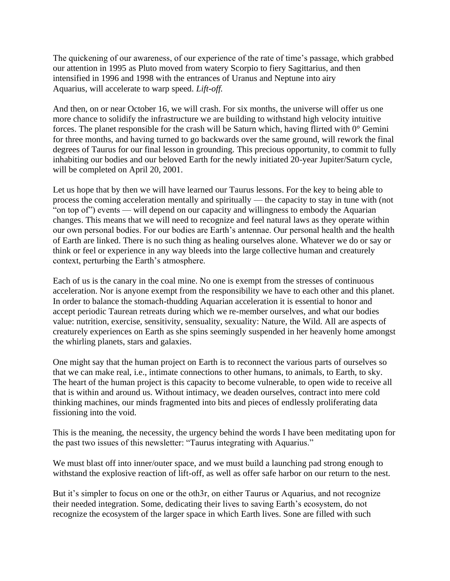The quickening of our awareness, of our experience of the rate of time's passage, which grabbed our attention in 1995 as Pluto moved from watery Scorpio to fiery Sagittarius, and then intensified in 1996 and 1998 with the entrances of Uranus and Neptune into airy Aquarius, will accelerate to warp speed. *Lift-off.*

And then, on or near October 16, we will crash. For six months, the universe will offer us one more chance to solidify the infrastructure we are building to withstand high velocity intuitive forces. The planet responsible for the crash will be Saturn which, having flirted with 0° Gemini for three months, and having turned to go backwards over the same ground, will rework the final degrees of Taurus for our final lesson in grounding. This precious opportunity, to commit to fully inhabiting our bodies and our beloved Earth for the newly initiated 20-year Jupiter/Saturn cycle, will be completed on April 20, 2001.

Let us hope that by then we will have learned our Taurus lessons. For the key to being able to process the coming acceleration mentally and spiritually — the capacity to stay in tune with (not "on top of") events — will depend on our capacity and willingness to embody the Aquarian changes. This means that we will need to recognize and feel natural laws as they operate within our own personal bodies. For our bodies are Earth's antennae. Our personal health and the health of Earth are linked. There is no such thing as healing ourselves alone. Whatever we do or say or think or feel or experience in any way bleeds into the large collective human and creaturely context, perturbing the Earth's atmosphere.

Each of us is the canary in the coal mine. No one is exempt from the stresses of continuous acceleration. Nor is anyone exempt from the responsibility we have to each other and this planet. In order to balance the stomach-thudding Aquarian acceleration it is essential to honor and accept periodic Taurean retreats during which we re-member ourselves, and what our bodies value: nutrition, exercise, sensitivity, sensuality, sexuality: Nature, the Wild. All are aspects of creaturely experiences on Earth as she spins seemingly suspended in her heavenly home amongst the whirling planets, stars and galaxies.

One might say that the human project on Earth is to reconnect the various parts of ourselves so that we can make real, i.e., intimate connections to other humans, to animals, to Earth, to sky. The heart of the human project is this capacity to become vulnerable, to open wide to receive all that is within and around us. Without intimacy, we deaden ourselves, contract into mere cold thinking machines, our minds fragmented into bits and pieces of endlessly proliferating data fissioning into the void.

This is the meaning, the necessity, the urgency behind the words I have been meditating upon for the past two issues of this newsletter: "Taurus integrating with Aquarius."

We must blast off into inner/outer space, and we must build a launching pad strong enough to withstand the explosive reaction of lift-off, as well as offer safe harbor on our return to the nest.

But it's simpler to focus on one or the oth3r, on either Taurus or Aquarius, and not recognize their needed integration. Some, dedicating their lives to saving Earth's ecosystem, do not recognize the ecosystem of the larger space in which Earth lives. Sone are filled with such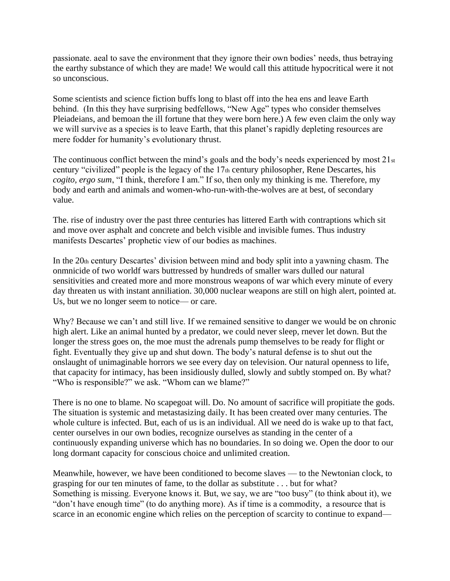passionate. aeal to save the environment that they ignore their own bodies' needs, thus betraying the earthy substance of which they are made! We would call this attitude hypocritical were it not so unconscious.

Some scientists and science fiction buffs long to blast off into the hea ens and leave Earth behind. (In this they have surprising bedfellows, "New Age" types who consider themselves Pleiadeians, and bemoan the ill fortune that they were born here.) A few even claim the only way we will survive as a species is to leave Earth, that this planet's rapidly depleting resources are mere fodder for humanity's evolutionary thrust.

The continuous conflict between the mind's goals and the body's needs experienced by most 21st century "civilized" people is the legacy of the 17th century philosopher, Rene Descartes, his *cogito, ergo sum*, "I think, therefore I am." If so, then only my thinking is me. Therefore, my body and earth and animals and women-who-run-with-the-wolves are at best, of secondary value.

The. rise of industry over the past three centuries has littered Earth with contraptions which sit and move over asphalt and concrete and belch visible and invisible fumes. Thus industry manifests Descartes' prophetic view of our bodies as machines.

In the 20th century Descartes' division between mind and body split into a yawning chasm. The onmnicide of two worldf wars buttressed by hundreds of smaller wars dulled our natural sensitivities and created more and more monstrous weapons of war which every minute of every day threaten us with instant anniliation. 30,000 nuclear weapons are still on high alert, pointed at. Us, but we no longer seem to notice— or care.

Why? Because we can't and still live. If we remained sensitive to danger we would be on chronic high alert. Like an animal hunted by a predator, we could never sleep, rnever let down. But the longer the stress goes on, the moe must the adrenals pump themselves to be ready for flight or fight. Eventually they give up and shut down. The body's natural defense is to shut out the onslaught of unimaginable horrors we see every day on television. Our natural openness to life, that capacity for intimacy, has been insidiously dulled, slowly and subtly stomped on. By what? "Who is responsible?" we ask. "Whom can we blame?"

There is no one to blame. No scapegoat will. Do. No amount of sacrifice will propitiate the gods. The situation is systemic and metastasizing daily. It has been created over many centuries. The whole culture is infected. But, each of us is an individual. All we need do is wake up to that fact, center ourselves in our own bodies, recognize ourselves as standing in the center of a continuously expanding universe which has no boundaries. In so doing we. Open the door to our long dormant capacity for conscious choice and unlimited creation.

Meanwhile, however, we have been conditioned to become slaves — to the Newtonian clock, to grasping for our ten minutes of fame, to the dollar as substitute . . . but for what? Something is missing. Everyone knows it. But, we say, we are "too busy" (to think about it), we "don't have enough time" (to do anything more). As if time is a commodity, a resource that is scarce in an economic engine which relies on the perception of scarcity to continue to expand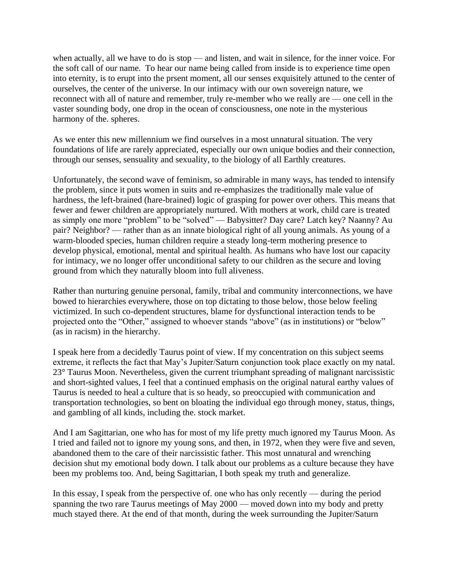when actually, all we have to do is stop — and listen, and wait in silence, for the inner voice. For the soft call of our name. To hear our name being called from inside is to experience time open into eternity, is to erupt into the prsent moment, all our senses exquisitely attuned to the center of ourselves, the center of the universe. In our intimacy with our own sovereign nature, we reconnect with all of nature and remember, truly re-member who we really are — one cell in the vaster sounding body, one drop in the ocean of consciousness, one note in the mysterious harmony of the. spheres.

As we enter this new millennium we find ourselves in a most unnatural situation. The very foundations of life are rarely appreciated, especially our own unique bodies and their connection, through our senses, sensuality and sexuality, to the biology of all Earthly creatures.

Unfortunately, the second wave of feminism, so admirable in many ways, has tended to intensify the problem, since it puts women in suits and re-emphasizes the traditionally male value of hardness, the left-brained (hare-brained) logic of grasping for power over others. This means that fewer and fewer children are appropriately nurtured. With mothers at work, child care is treated as simply one more "problem" to be "solved" — Babysitter? Day care? Latch key? Naanny? Au pair? Neighbor? — rather than as an innate biological right of all young animals. As young of a warm-blooded species, human children require a steady long-term mothering presence to develop physical, emotional, mental and spiritual health. As humans who have lost our capacity for intimacy, we no longer offer unconditional safety to our children as the secure and loving ground from which they naturally bloom into full aliveness.

Rather than nurturing genuine personal, family, tribal and community interconnections, we have bowed to hierarchies everywhere, those on top dictating to those below, those below feeling victimized. In such co-dependent structures, blame for dysfunctional interaction tends to be projected onto the "Other," assigned to whoever stands "above" (as in institutions) or "below" (as in racism) in the hierarchy.

I speak here from a decidedly Taurus point of view. If my concentration on this subject seems extreme, it reflects the fact that May's Jupiter/Saturn conjunction took place exactly on my natal. 23° Taurus Moon. Nevertheless, given the current triumphant spreading of malignant narcissistic and short-sighted values, I feel that a continued emphasis on the original natural earthy values of Taurus is needed to heal a culture that is so heady, so preoccupied with communication and transportation technologies, so bent on bloating the individual ego through money, status, things, and gambling of all kinds, including the. stock market.

And I am Sagittarian, one who has for most of my life pretty much ignored my Taurus Moon. As I tried and failed not to ignore my young sons, and then, in 1972, when they were five and seven, abandoned them to the care of their narcissistic father. This most unnatural and wrenching decision shut my emotional body down. I talk about our problems as a culture because they have been my problems too. And, being Sagittarian, I both speak my truth and generalize.

In this essay, I speak from the perspective of. one who has only recently — during the period spanning the two rare Taurus meetings of May 2000 — moved down into my body and pretty much stayed there. At the end of that month, during the week surrounding the Jupiter/Saturn